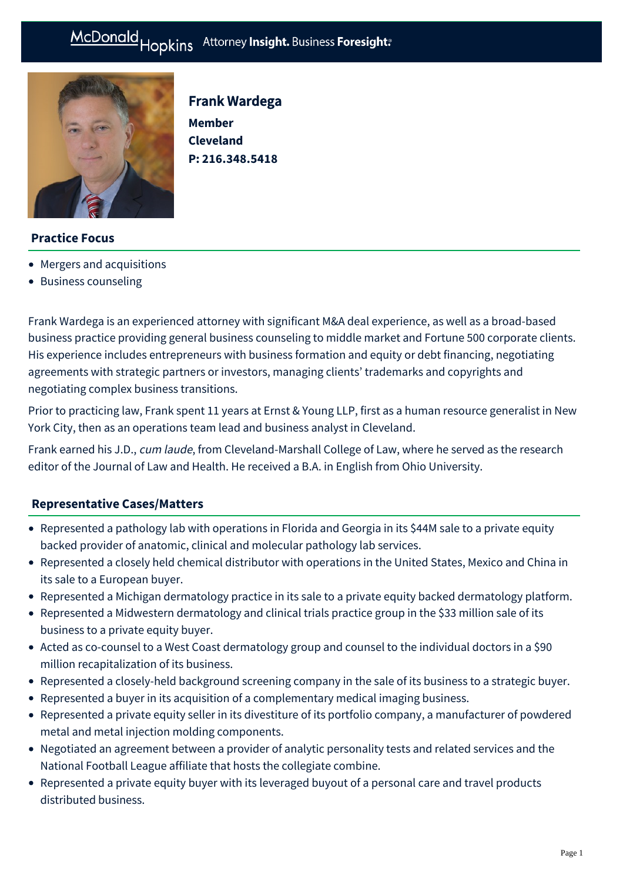Frank Wardega

**P: [216.348.5418](tel:216.348.5418)**

**Member Cleveland** 



# **Practice Focus**

- [Mergers and acquisitions](https://mcdonaldhopkins.com/Expertise/Mergers-and-acquisitions)
- [Business counseling](https://mcdonaldhopkins.com/Expertise/Business-counseling)

Frank Wardega is an experienced attorney with significant M&A deal experience, as well as a broad-based business practice providing general business counseling to middle market and Fortune 500 corporate clients. His experience includes entrepreneurs with business formation and equity or debt financing, negotiating agreements with strategic partners or investors, managing clients' trademarks and copyrights and negotiating complex business transitions.

Prior to practicing law, Frank spent 11 years at Ernst & Young LLP, first as a human resource generalist in New York City, then as an operations team lead and business analyst in Cleveland.

Frank earned his J.D., cum laude, from Cleveland-Marshall College of Law, where he served as the research editor of the Journal of Law and Health. He received a B.A. in English from Ohio University.

# **[Representative Cases/Matters](#page-0-0)**

- <span id="page-0-0"></span>Represented a pathology lab with operations in Florida and Georgia in its \$44M sale to a private equity backed provider of anatomic, clinical and molecular pathology lab services.
- Represented a closely held chemical distributor with operations in the United States, Mexico and China in its sale to a European buyer.
- Represented a Michigan dermatology practice in its sale to a private equity backed dermatology platform.
- Represented a Midwestern dermatology and clinical trials practice group in the \$33 million sale of its business to a private equity buyer.
- Acted as co-counsel to a West Coast dermatology group and counsel to the individual doctors in a \$90 million recapitalization of its business.
- Represented a closely-held background screening company in the sale of its business to a strategic buyer.
- Represented a buyer in its acquisition of a complementary medical imaging business.
- Represented a private equity seller in its divestiture of its portfolio company, a manufacturer of powdered metal and metal injection molding components.
- Negotiated an agreement between a provider of analytic personality tests and related services and the National Football League affiliate that hosts the collegiate combine.
- Represented a private equity buyer with its leveraged buyout of a personal care and travel products distributed business.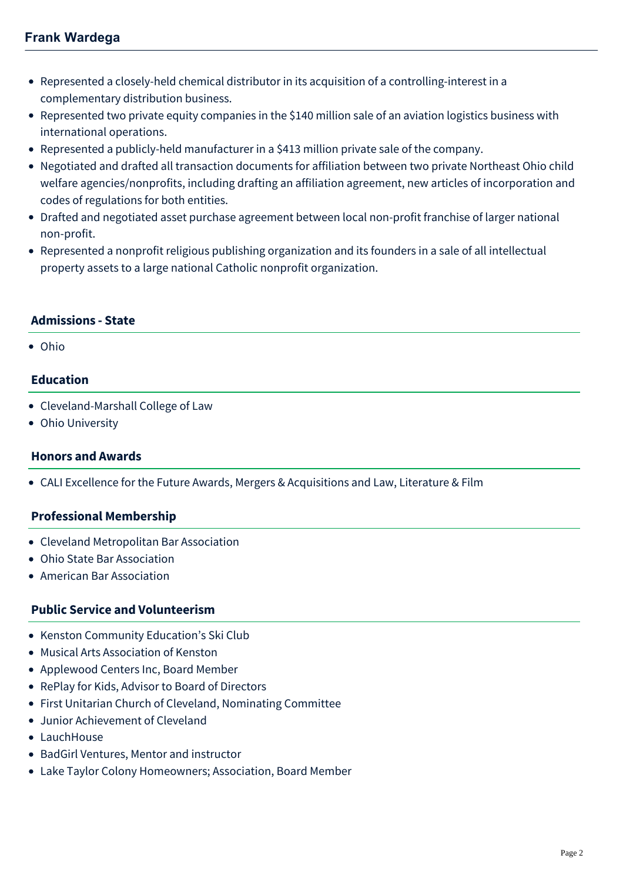- Represented a closely-held chemical distributor in its acquisition of a controlling-interest in a complementary distribution business.
- Represented two private equity companies in the \$140 million sale of an aviation logistics business with international operations.
- Represented a publicly-held manufacturer in a \$413 million private sale of the company.
- Negotiated and drafted all transaction documents for affiliation between two private Northeast Ohio child welfare agencies/nonprofits, including drafting an affiliation agreement, new articles of incorporation and codes of regulations for both entities.
- Drafted and negotiated asset purchase agreement between local non-profit franchise of larger national non-profit.
- Represented a nonprofit religious publishing organization and its founders in a sale of all intellectual property assets to a large national Catholic nonprofit organization.

### **Admissions - State**

Ohio

### **Education**

- Cleveland-Marshall College of Law
- Ohio University

### **Honors and Awards**

CALI Excellence for the Future Awards, Mergers & Acquisitions and Law, Literature & Film

### **Professional Membership**

- Cleveland Metropolitan Bar Association
- Ohio State Bar Association
- American Bar Association

### **Public Service and Volunteerism**

- Kenston Community Education's Ski Club
- Musical Arts Association of Kenston
- Applewood Centers Inc, Board Member
- RePlay for Kids, Advisor to Board of Directors
- First Unitarian Church of Cleveland, Nominating Committee
- Junior Achievement of Cleveland
- LauchHouse
- BadGirl Ventures, Mentor and instructor
- Lake Taylor Colony Homeowners; Association, Board Member